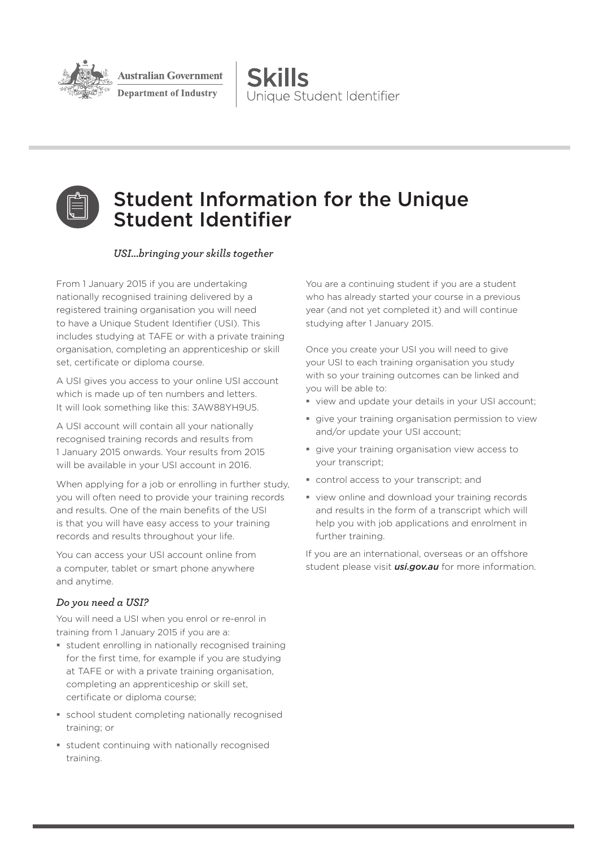

ustralian Government

**Department of Industry** 

**Skills** Unique Student Identifier



# Student Information for the Unique Student Identifier

#### *USI...bringing your skills together*

From 1 January 2015 if you are undertaking nationally recognised training delivered by a registered training organisation you will need to have a Unique Student Identifier (USI). This includes studying at TAFE or with a private training organisation, completing an apprenticeship or skill set, certificate or diploma course.

A USI gives you access to your online USI account which is made up of ten numbers and letters. It will look something like this: 3AW88YH9U5.

A USI account will contain all your nationally recognised training records and results from 1 January 2015 onwards. Your results from 2015 will be available in your USI account in 2016.

When applying for a job or enrolling in further study, you will often need to provide your training records and results. One of the main benefits of the USI is that you will have easy access to your training records and results throughout your life.

You can access your USI account online from a computer, tablet or smart phone anywhere and anytime.

## *Do you need a USI?*

You will need a USI when you enrol or re-enrol in training from 1 January 2015 if you are a:

- student enrolling in nationally recognised training for the first time, for example if you are studying at TAFE or with a private training organisation, completing an apprenticeship or skill set, certificate or diploma course;
- school student completing nationally recognised training; or
- student continuing with nationally recognised training.

You are a continuing student if you are a student who has already started your course in a previous year (and not yet completed it) and will continue studying after 1 January 2015.

Once you create your USI you will need to give your USI to each training organisation you study with so your training outcomes can be linked and you will be able to:

- view and update your details in your USI account;
- give your training organisation permission to view and/or update your USI account;
- give your training organisation view access to your transcript;
- control access to your transcript; and
- view online and download your training records and results in the form of a transcript which will help you with job applications and enrolment in further training.

If you are an international, overseas or an offshore student please visit *usi.gov.au* for more information.